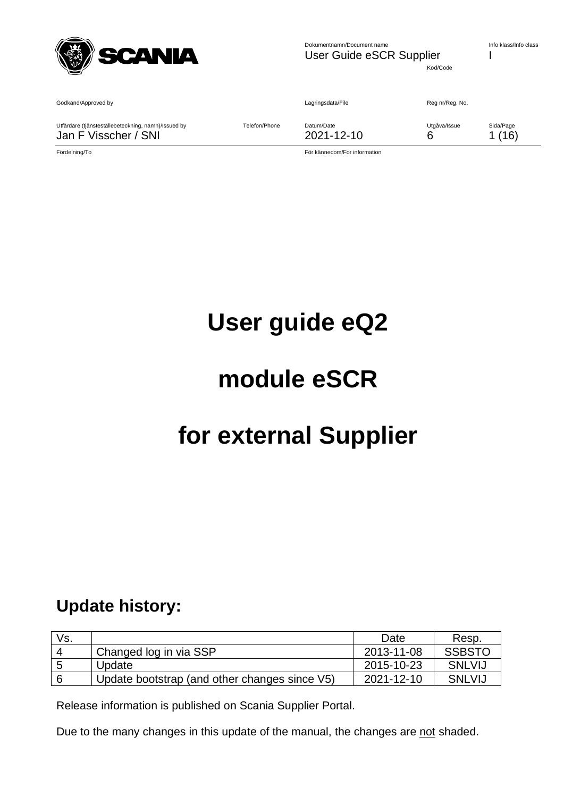

Kod/Code

Godkänd/Approved by Communication of the Communication of Lagringsdata/File Reg nr/Reg. No.

Utfärdare (tjänsteställebeteckning, namn)/Issued by Telefon/Phone Datum/Date Utgåva/Issue Sida/Page Jan F Visscher / SNI 2021-12-10 6 1 (16)

Fördelning/To För kännedom/For information

# **User guide eQ2**

# **module eSCR**

# **for external Supplier**

# <span id="page-0-0"></span>**Update history:**

| Vs. |                                               | Date       | Resp.         |
|-----|-----------------------------------------------|------------|---------------|
|     | Changed log in via SSP                        | 2013-11-08 | <b>SSBSTO</b> |
| 5   | Update                                        | 2015-10-23 | <b>SNLVIJ</b> |
| 6   | Update bootstrap (and other changes since V5) | 2021-12-10 | <b>SNLVIJ</b> |

Release information is published on Scania Supplier Portal.

Due to the many changes in this update of the manual, the changes are not shaded.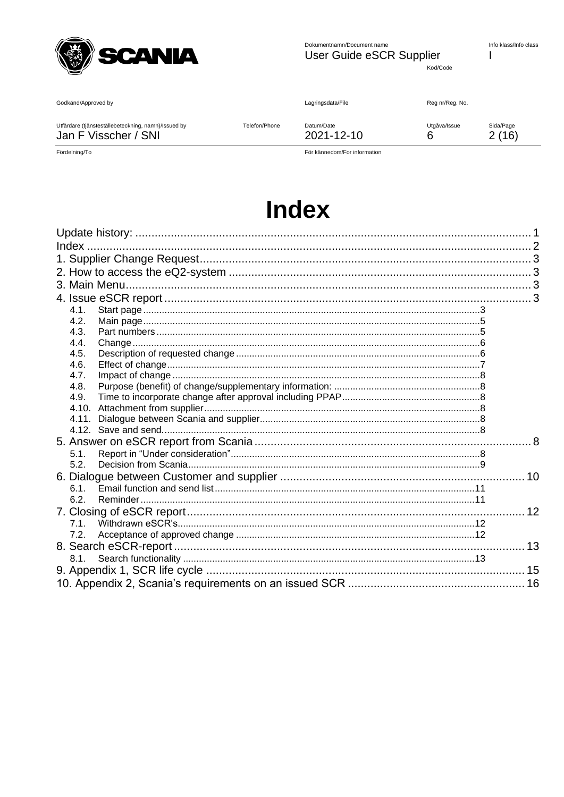

Dokumentnamn/Document name User Guide eSCR Supplier Info klass/Info class  $\overline{1}$ 

Kod/Code

Godkänd/Approved by

Lagringsdata/File

Reg nr/Reg. No.

Utgåva/Issue

 $6\phantom{1}6$ 

Utfärdare (tjänsteställebeteckning, namn)/Issued by Jan F Visscher / SNI

Datum/Date

Sida/Page  $2(16)$ 

Fördelning/To

För kännedom/For information

2021-12-10

# **Index**

Telefon/Phone

<span id="page-1-0"></span>

| 4.1.  |  |
|-------|--|
| 4.2.  |  |
| 4.3.  |  |
| 4.4.  |  |
| 4.5.  |  |
| 4.6.  |  |
| 4.7.  |  |
| 4.8.  |  |
| 4.9.  |  |
| 4.10. |  |
| 4.11. |  |
|       |  |
|       |  |
| 5.1.  |  |
| 5.2.  |  |
|       |  |
| 6.1   |  |
| 6.2.  |  |
|       |  |
| 71    |  |
| 7.2.  |  |
|       |  |
| 8.1.  |  |
|       |  |
|       |  |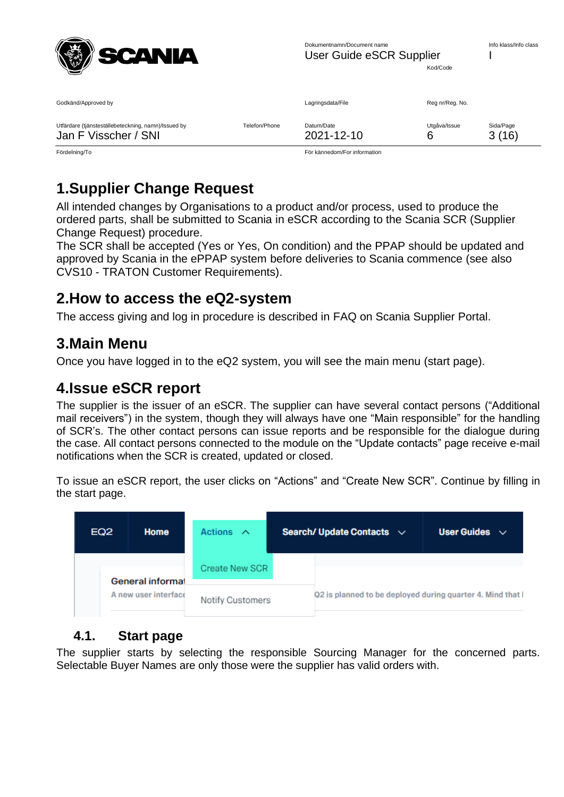

| Godkänd/Approved by                                 |               | Lagringsdata/File | Reg nr/Reg. No. |           |
|-----------------------------------------------------|---------------|-------------------|-----------------|-----------|
| Utfärdare (tjänsteställebeteckning, namn)/Issued by | Telefon/Phone | Datum/Date        | Utgåva/Issue    | Sida/Page |
| Jan F Visscher / SNI                                |               | 2021-12-10        | 6               | 3(16)     |

Fördelning/To För kännedom/For information

# <span id="page-2-0"></span>**1.Supplier Change Request**

All intended changes by Organisations to a product and/or process, used to produce the ordered parts, shall be submitted to Scania in eSCR according to the Scania SCR (Supplier Change Request) procedure.

The SCR shall be accepted (Yes or Yes, On condition) and the PPAP should be updated and approved by Scania in the ePPAP system before deliveries to Scania commence (see also CVS10 - TRATON Customer Requirements).

# <span id="page-2-1"></span>**2.How to access the eQ2-system**

The access giving and log in procedure is described in FAQ on Scania Supplier Portal.

# <span id="page-2-2"></span>**3.Main Menu**

Once you have logged in to the eQ2 system, you will see the main menu (start page).

# <span id="page-2-3"></span>**4.Issue eSCR report**

The supplier is the issuer of an eSCR. The supplier can have several contact persons ("Additional mail receivers") in the system, though they will always have one "Main responsible" for the handling of SCR's. The other contact persons can issue reports and be responsible for the dialogue during the case. All contact persons connected to the module on the "Update contacts" page receive e-mail notifications when the SCR is created, updated or closed.

To issue an eSCR report, the user clicks on "Actions" and "Create New SCR". Continue by filling in the start page.

| EQ <sub>2</sub>      | Home             | Actions $\wedge$ |  | Search/ Update Contacts $\sim$                             | User Guides $\sim$ |
|----------------------|------------------|------------------|--|------------------------------------------------------------|--------------------|
|                      | General informal | Create New SCR   |  |                                                            |                    |
| A new user interface |                  | Notify Customers |  | Q2 is planned to be deployed during quarter 4. Mind that I |                    |

### <span id="page-2-4"></span>**4.1. Start page**

The supplier starts by selecting the responsible Sourcing Manager for the concerned parts. Selectable Buyer Names are only those were the supplier has valid orders with.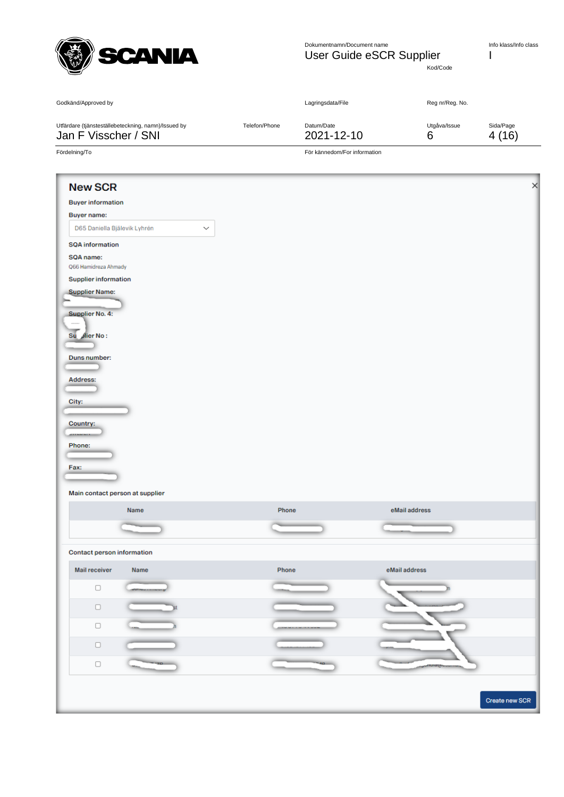

Kod/Code

|                                                                             |               | Lagringsdata/File            | Reg nr/Reg. No.   |                    |
|-----------------------------------------------------------------------------|---------------|------------------------------|-------------------|--------------------|
| Utfärdare (tjänsteställebeteckning, namn)/Issued by<br>Jan F Visscher / SNI | Telefon/Phone | Datum/Date<br>2021-12-10     | Utgåva/Issue<br>6 | Sida/Page<br>4(16) |
| Fördelning/To                                                               |               | För kännedom/For information |                   |                    |
| <b>New SCR</b>                                                              |               |                              |                   |                    |
| <b>Buyer information</b>                                                    |               |                              |                   |                    |
| <b>Buyer name:</b>                                                          |               |                              |                   |                    |
| D65 Daniella Bjälevik Lyhrén<br>$\checkmark$                                |               |                              |                   |                    |
| <b>SQA</b> information                                                      |               |                              |                   |                    |
| SQA name:<br>Q66 Hamidreza Ahmady                                           |               |                              |                   |                    |
| <b>Supplier information</b>                                                 |               |                              |                   |                    |
| <b>Supplier Name:</b>                                                       |               |                              |                   |                    |
|                                                                             |               |                              |                   |                    |
| Supplier No. 4:                                                             |               |                              |                   |                    |
| Su dier No:                                                                 |               |                              |                   |                    |
|                                                                             |               |                              |                   |                    |
| Duns number:                                                                |               |                              |                   |                    |
|                                                                             |               |                              |                   |                    |
| Address:                                                                    |               |                              |                   |                    |
|                                                                             |               |                              |                   |                    |
| City:                                                                       |               |                              |                   |                    |
| Country:                                                                    |               |                              |                   |                    |
|                                                                             |               |                              |                   |                    |
| Phone:                                                                      |               |                              |                   |                    |
| Fax:                                                                        |               |                              |                   |                    |
|                                                                             |               |                              |                   |                    |
| Main contact person at supplier                                             |               |                              |                   |                    |
| Name                                                                        | Phone         |                              | eMail address     |                    |
|                                                                             |               |                              |                   |                    |
| <b>Contact person information</b>                                           |               |                              |                   |                    |
| Mail receiver<br>Name                                                       | Phone         |                              | eMail address     |                    |
| O                                                                           |               |                              |                   |                    |
| $\Box$                                                                      |               |                              |                   |                    |
| $\Box$                                                                      |               |                              |                   |                    |
| $\Box$                                                                      |               |                              |                   |                    |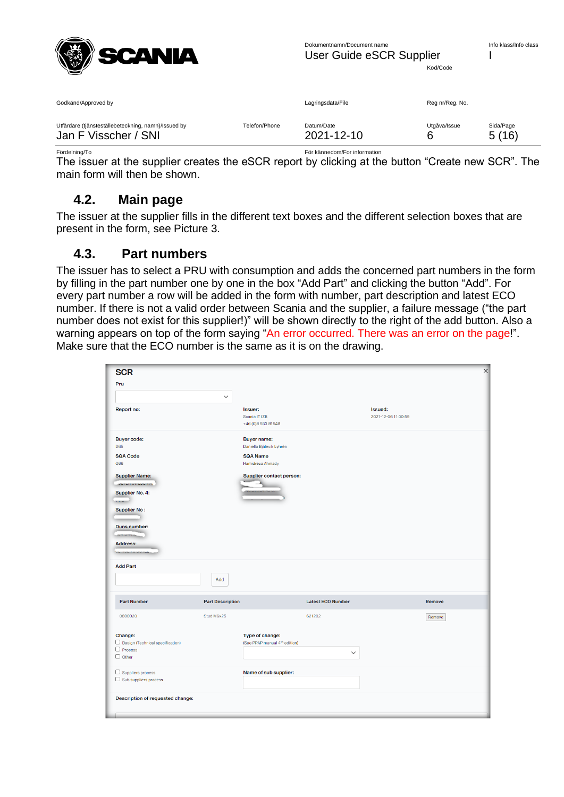

| Godkänd/Approved by                                 |               | Lagringsdata/File | Reg nr/Reg. No. |           |
|-----------------------------------------------------|---------------|-------------------|-----------------|-----------|
| Utfärdare (tjänsteställebeteckning, namn)/Issued by | Telefon/Phone | Datum/Date        | Utgåva/Issue    | Sida/Page |
| Jan F Visscher / SNI                                |               | 2021-12-10        | 6               | 5(16)     |

Fördelning/To För kännedom/For information The issuer at the supplier creates the eSCR report by clicking at the button "Create new SCR". The

<span id="page-4-0"></span>main form will then be shown.

#### **4.2. Main page**

The issuer at the supplier fills in the different text boxes and the different selection boxes that are present in the form, see Picture 3.

#### <span id="page-4-1"></span>**4.3. Part numbers**

The issuer has to select a PRU with consumption and adds the concerned part numbers in the form by filling in the part number one by one in the box "Add Part" and clicking the button "Add". For every part number a row will be added in the form with number, part description and latest ECO number. If there is not a valid order between Scania and the supplier, a failure message ("the part number does not exist for this supplier!)" will be shown directly to the right of the add button. Also a warning appears on top of the form saying "An error occurred. There was an error on the page!". Make sure that the ECO number is the same as it is on the drawing.

| <b>SCR</b>                                               |                         |                                                |                          |                     | $\times$ |
|----------------------------------------------------------|-------------------------|------------------------------------------------|--------------------------|---------------------|----------|
| Pru                                                      |                         |                                                |                          |                     |          |
|                                                          |                         |                                                |                          |                     |          |
|                                                          | $\checkmark$            |                                                |                          |                     |          |
| Report no:                                               |                         | <b>Issuer:</b>                                 |                          | <b>Issued:</b>      |          |
|                                                          |                         | Scania IT IZB<br>+46 (0)8 553 81548            |                          | 2021-12-06 11:00:59 |          |
|                                                          |                         |                                                |                          |                     |          |
| <b>Buyer code:</b><br><b>D65</b>                         |                         | <b>Buyer name:</b><br>Daniella Bjälevik Lyhrén |                          |                     |          |
| <b>SQA Code</b>                                          |                         | <b>SQA Name</b>                                |                          |                     |          |
| Q66                                                      |                         | Hamidreza Ahmady                               |                          |                     |          |
| <b>Supplier Name:</b>                                    |                         | Supplier contact person:                       |                          |                     |          |
| <b>JERES URBEITER</b>                                    |                         |                                                |                          |                     |          |
| <b>Supplier No. 4:</b>                                   |                         |                                                |                          |                     |          |
|                                                          |                         |                                                |                          |                     |          |
| <b>Supplier No:</b>                                      |                         |                                                |                          |                     |          |
| Duns number:                                             |                         |                                                |                          |                     |          |
|                                                          |                         |                                                |                          |                     |          |
| <b>Address:</b>                                          |                         |                                                |                          |                     |          |
|                                                          |                         |                                                |                          |                     |          |
| <b>Add Part</b>                                          |                         |                                                |                          |                     |          |
|                                                          |                         |                                                |                          |                     |          |
|                                                          | Add                     |                                                |                          |                     |          |
|                                                          |                         |                                                |                          |                     |          |
| <b>Part Number</b>                                       | <b>Part Description</b> |                                                | <b>Latest ECO Number</b> |                     | Remove   |
| 0800020                                                  | Stud M6x25              |                                                | 621202                   |                     | Remove   |
|                                                          |                         |                                                |                          |                     |          |
| Change:                                                  |                         | Type of change:                                |                          |                     |          |
| $\Box$ Design (Technical specification)                  |                         | (See PPAP manual 4 <sup>th</sup> edition)      |                          |                     |          |
| $\Box$ Process<br>$\Box$ Other                           |                         |                                                | $\checkmark$             |                     |          |
|                                                          |                         |                                                |                          |                     |          |
| $\Box$ Suppliers process<br>$\Box$ Sub suppliers process |                         | Name of sub supplier:                          |                          |                     |          |
|                                                          |                         |                                                |                          |                     |          |
| Description of requested change:                         |                         |                                                |                          |                     |          |
|                                                          |                         |                                                |                          |                     |          |
|                                                          |                         |                                                |                          |                     |          |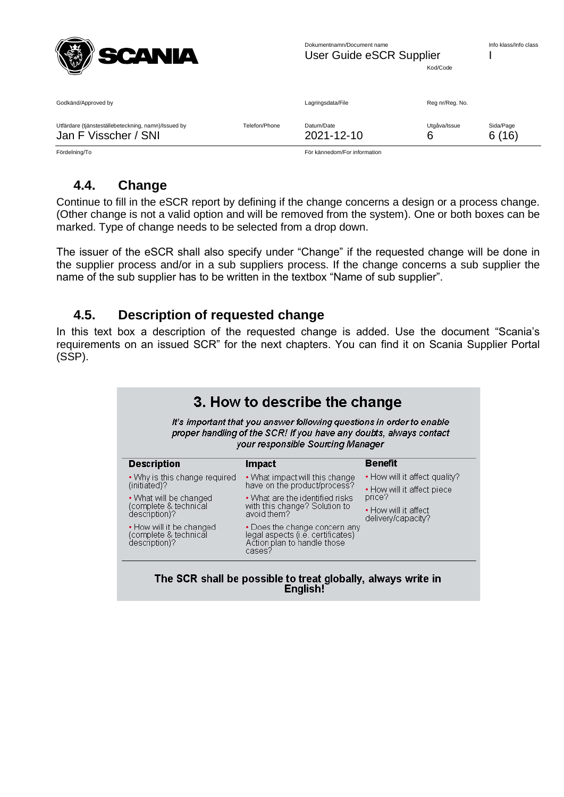

| Reg nr/Reg. No.<br>Godkänd/Approved by<br>Lagringsdata/File<br>Utfärdare (tjänsteställebeteckning, namn)/Issued by<br>Sida/Page<br>Telefon/Phone<br>Utgåva/Issue<br>Datum/Date<br>6(16)<br>Jan F Visscher / SNI<br>2021-12-10<br>6 | Fördelning/To | För kännedom/For information |  |  |
|------------------------------------------------------------------------------------------------------------------------------------------------------------------------------------------------------------------------------------|---------------|------------------------------|--|--|
|                                                                                                                                                                                                                                    |               |                              |  |  |
|                                                                                                                                                                                                                                    |               |                              |  |  |

<span id="page-5-0"></span>

#### **4.4. Change**

Continue to fill in the eSCR report by defining if the change concerns a design or a process change. (Other change is not a valid option and will be removed from the system). One or both boxes can be marked. Type of change needs to be selected from a drop down.

The issuer of the eSCR shall also specify under "Change" if the requested change will be done in the supplier process and/or in a sub suppliers process. If the change concerns a sub supplier the name of the sub supplier has to be written in the textbox "Name of sub supplier".

#### <span id="page-5-1"></span>**4.5. Description of requested change**

In this text box a description of the requested change is added. Use the document "Scania's requirements on an issued SCR" for the next chapters. You can find it on Scania Supplier Portal (SSP).

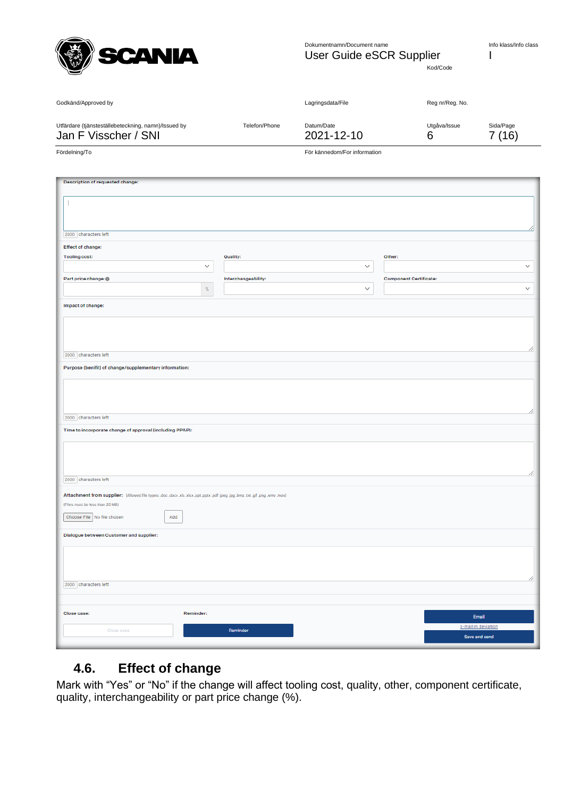

Effect of change: **Tooling cost:** 

Part price change: @

Impact of change:

2000 characters left

2000 characters left

Purpose (benifit) of change/supplementary information:

Time to incorporate change of approval (including PPAP):

Dokumentnamn/Document name Info klass/Info class User Guide eSCR Supplier I

Other

Component Certificate:

 $\checkmark$ 

 $\checkmark$ 

 $\bar{\vee}$ 

 $\checkmark$ 

Kod/Code

| Godkänd/Approved by                                                         |               | Lagringsdata/File            | Reg nr/Reg. No.   |                     |  |
|-----------------------------------------------------------------------------|---------------|------------------------------|-------------------|---------------------|--|
| Utfärdare (tjänsteställebeteckning, namn)/Issued by<br>Jan F Visscher / SNI | Telefon/Phone | Datum/Date<br>2021-12-10     | Utgåva/Issue<br>6 | Sida/Page<br>7 (16) |  |
| Fördelning/To                                                               |               | För kännedom/For information |                   |                     |  |
|                                                                             |               |                              |                   |                     |  |
| Description of requested change:                                            |               |                              |                   |                     |  |
|                                                                             |               |                              |                   |                     |  |
|                                                                             |               |                              |                   |                     |  |
| soon. Aharastare laft                                                       |               |                              |                   |                     |  |

**Quality:** 

Interchangeability:

 $\backsim$ 

 $\%$ 

| 2000 characters left                                                                                                         |           |  |                                     |  |  |  |
|------------------------------------------------------------------------------------------------------------------------------|-----------|--|-------------------------------------|--|--|--|
| Attachment from supplier: (Allowed file types: .doc .docx .xls .xlsx.ppt .pptx.pdf .jpeg .jpg .bmp .txt .gif .png .wmv .mov) |           |  |                                     |  |  |  |
| (Files must be less than 20 MB)                                                                                              |           |  |                                     |  |  |  |
| Choose File No file chosen                                                                                                   | Add       |  |                                     |  |  |  |
| Dialogue between Customer and supplier:                                                                                      |           |  |                                     |  |  |  |
|                                                                                                                              |           |  |                                     |  |  |  |
| 2000 characters left                                                                                                         |           |  |                                     |  |  |  |
|                                                                                                                              |           |  |                                     |  |  |  |
| Close case:                                                                                                                  | Reminder: |  |                                     |  |  |  |
|                                                                                                                              |           |  | Email                               |  |  |  |
| Close case                                                                                                                   | Reminder  |  | E-mail in deviation                 |  |  |  |
|                                                                                                                              |           |  | the contract of the contract of the |  |  |  |

#### <span id="page-6-0"></span>**4.6. Effect of change**

Mark with "Yes" or "No" if the change will affect tooling cost, quality, other, component certificate, quality, interchangeability or part price change (%).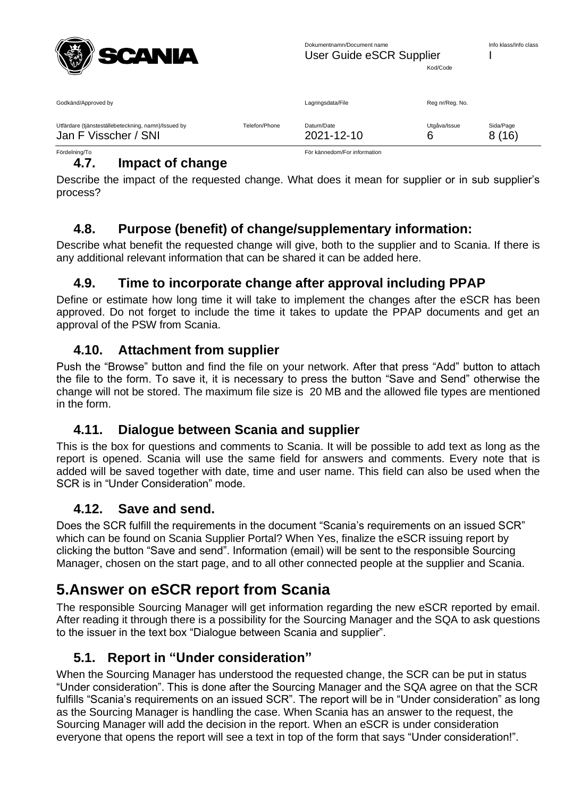

| Godkänd/Approved by                                                         |               | Lagringsdata/File        | Reg nr/Reg. No. |                    |
|-----------------------------------------------------------------------------|---------------|--------------------------|-----------------|--------------------|
| Utfärdare (tjänsteställebeteckning, namn)/Issued by<br>Jan F Visscher / SNI | Telefon/Phone | Datum/Date<br>2021-12-10 | Utgåva/Issue    | Sida/Page<br>8(16) |

#### <span id="page-7-0"></span>Fördelning/To För kännedom/For information **4.7. Impact of change**

Describe the impact of the requested change. What does it mean for supplier or in sub supplier's process?

### <span id="page-7-1"></span>**4.8. Purpose (benefit) of change/supplementary information:**

Describe what benefit the requested change will give, both to the supplier and to Scania. If there is any additional relevant information that can be shared it can be added here.

#### <span id="page-7-2"></span>**4.9. Time to incorporate change after approval including PPAP**

Define or estimate how long time it will take to implement the changes after the eSCR has been approved. Do not forget to include the time it takes to update the PPAP documents and get an approval of the PSW from Scania.

#### <span id="page-7-3"></span>**4.10. Attachment from supplier**

Push the "Browse" button and find the file on your network. After that press "Add" button to attach the file to the form. To save it, it is necessary to press the button "Save and Send" otherwise the change will not be stored. The maximum file size is 20 MB and the allowed file types are mentioned in the form.

#### <span id="page-7-4"></span>**4.11. Dialogue between Scania and supplier**

This is the box for questions and comments to Scania. It will be possible to add text as long as the report is opened. Scania will use the same field for answers and comments. Every note that is added will be saved together with date, time and user name. This field can also be used when the SCR is in "Under Consideration" mode.

#### <span id="page-7-5"></span>**4.12. Save and send.**

Does the SCR fulfill the requirements in the document "Scania's requirements on an issued SCR" which can be found on Scania Supplier Portal? When Yes, finalize the eSCR issuing report by clicking the button "Save and send". Information (email) will be sent to the responsible Sourcing Manager, chosen on the start page, and to all other connected people at the supplier and Scania.

# <span id="page-7-6"></span>**5.Answer on eSCR report from Scania**

The responsible Sourcing Manager will get information regarding the new eSCR reported by email. After reading it through there is a possibility for the Sourcing Manager and the SQA to ask questions to the issuer in the text box "Dialogue between Scania and supplier".

### <span id="page-7-7"></span>**5.1. Report in "Under consideration"**

When the Sourcing Manager has understood the requested change, the SCR can be put in status "Under consideration". This is done after the Sourcing Manager and the SQA agree on that the SCR fulfills "Scania's requirements on an issued SCR". The report will be in "Under consideration" as long as the Sourcing Manager is handling the case. When Scania has an answer to the request, the Sourcing Manager will add the decision in the report. When an eSCR is under consideration everyone that opens the report will see a text in top of the form that says "Under consideration!".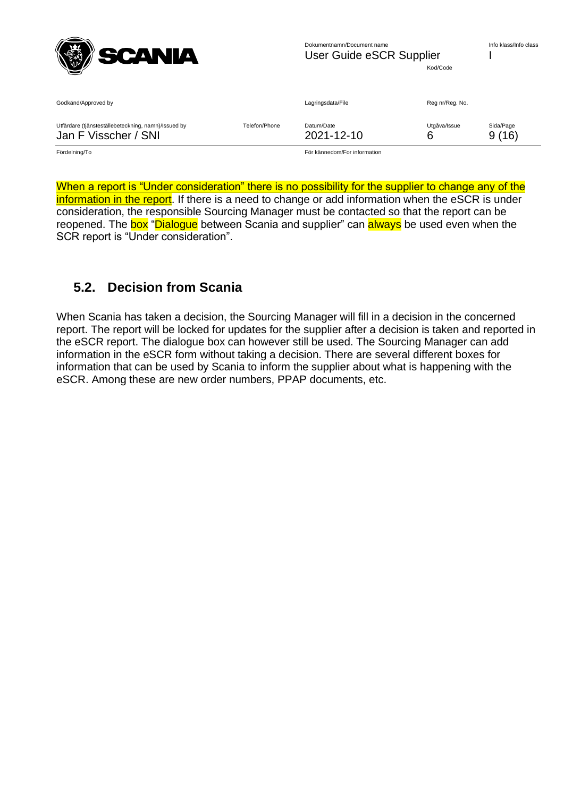

| Godkänd/Approved by                                                         |               | Lagringsdata/File            | Reg nr/Reg. No. |                    |
|-----------------------------------------------------------------------------|---------------|------------------------------|-----------------|--------------------|
| Utfärdare (tjänsteställebeteckning, namn)/Issued by<br>Jan F Visscher / SNI | Telefon/Phone | Datum/Date<br>2021-12-10     | Utgåva/Issue    | Sida/Page<br>9(16) |
| Fördelning/To                                                               |               | För kännedom/For information |                 |                    |

When a report is "Under consideration" there is no possibility for the supplier to change any of the information in the report. If there is a need to change or add information when the eSCR is under consideration, the responsible Sourcing Manager must be contacted so that the report can be reopened. The box "Dialogue between Scania and supplier" can always be used even when the SCR report is "Under consideration".

#### <span id="page-8-0"></span>**5.2. Decision from Scania**

When Scania has taken a decision, the Sourcing Manager will fill in a decision in the concerned report. The report will be locked for updates for the supplier after a decision is taken and reported in the eSCR report. The dialogue box can however still be used. The Sourcing Manager can add information in the eSCR form without taking a decision. There are several different boxes for information that can be used by Scania to inform the supplier about what is happening with the eSCR. Among these are new order numbers, PPAP documents, etc.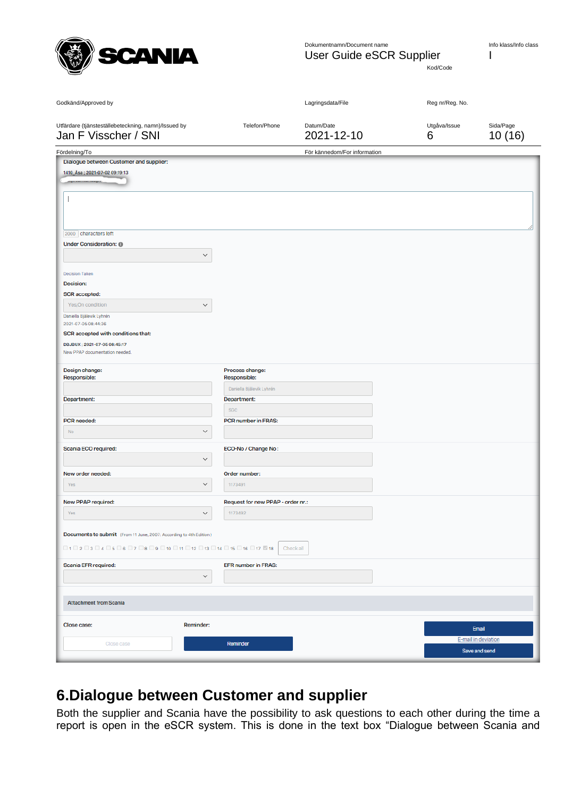

Kod/Code

| Godkänd/Approved by                                                                                                                                                        |                                     | Lagringsdata/File            | Reg nr/Reg. No.   |                                      |
|----------------------------------------------------------------------------------------------------------------------------------------------------------------------------|-------------------------------------|------------------------------|-------------------|--------------------------------------|
| Utfärdare (tjänsteställebeteckning, namn)/Issued by<br>Jan F Visscher / SNI                                                                                                | Telefon/Phone                       | Datum/Date<br>2021-12-10     | Utgåva/Issue<br>6 | Sida/Page<br>10(16)                  |
| Fördelning/To                                                                                                                                                              |                                     | För kännedom/For information |                   |                                      |
| Dialogue between Customer and supplier:                                                                                                                                    |                                     |                              |                   |                                      |
| 1410_Åsa; 2021-07-02 09:19:13                                                                                                                                              |                                     |                              |                   |                                      |
|                                                                                                                                                                            |                                     |                              |                   |                                      |
| 2000 characters left                                                                                                                                                       |                                     |                              |                   |                                      |
| Under Consideration: @                                                                                                                                                     |                                     |                              |                   |                                      |
|                                                                                                                                                                            | $\checkmark$                        |                              |                   |                                      |
| <b>Decision Taken</b>                                                                                                                                                      |                                     |                              |                   |                                      |
| Decision:<br><b>SCR</b> accepted:                                                                                                                                          |                                     |                              |                   |                                      |
| Yes, On condition                                                                                                                                                          | $\checkmark$                        |                              |                   |                                      |
| Daniella Bjälevik Lyhrén<br>2021-07-05 08:44:36                                                                                                                            |                                     |                              |                   |                                      |
| SCR accepted with conditions that:                                                                                                                                         |                                     |                              |                   |                                      |
| DBJBUX; 2021-07-05 08:45:17<br>New PPAP documentation needed.                                                                                                              |                                     |                              |                   |                                      |
| Design change:                                                                                                                                                             | Process change:                     |                              |                   |                                      |
| Responsible:                                                                                                                                                               | Responsible:                        |                              |                   |                                      |
|                                                                                                                                                                            | Daniella Bjälevik Lyhrén            |                              |                   |                                      |
| Department:                                                                                                                                                                | Department:                         |                              |                   |                                      |
|                                                                                                                                                                            | <b>SGC</b>                          |                              |                   |                                      |
| PCR needed:<br>No                                                                                                                                                          | PCR number in FRAS:<br>$\checkmark$ |                              |                   |                                      |
|                                                                                                                                                                            |                                     |                              |                   |                                      |
| Scania ECO required:                                                                                                                                                       | ECO-No / Change No:                 |                              |                   |                                      |
|                                                                                                                                                                            | $\checkmark$                        |                              |                   |                                      |
| New order needed:                                                                                                                                                          | Order number:                       |                              |                   |                                      |
| Yes                                                                                                                                                                        | $\checkmark$<br>1173491             |                              |                   |                                      |
| New PPAP required:                                                                                                                                                         | Request for new PPAP - order nr.:   |                              |                   |                                      |
| Yes                                                                                                                                                                        | 1173492<br>$\checkmark$             |                              |                   |                                      |
| Documents to submit (From 11 June, 2007: According to 4th Edition)                                                                                                         |                                     |                              |                   |                                      |
| $\Box$ 1 $\Box$ 2 $\Box$ 3 $\Box$ 4 $\Box$ 5 $\Box$ 6 $\Box$ 7 $\Box$ 8 $\Box$ 9 $\Box$ 10 $\Box$ 11 $\Box$ 12 $\Box$ 13 $\Box$ 14 $\Box$ 15 $\Box$ 16 $\Box$ 17 $\Box$ 18 |                                     | Check all                    |                   |                                      |
| Scania EFR required:                                                                                                                                                       | <b>EFR number in FRAS:</b>          |                              |                   |                                      |
|                                                                                                                                                                            | $\checkmark$                        |                              |                   |                                      |
| <b>Attachment from Scania</b>                                                                                                                                              |                                     |                              |                   |                                      |
|                                                                                                                                                                            |                                     |                              |                   |                                      |
| Close case:<br>Reminder:                                                                                                                                                   |                                     |                              |                   | Email                                |
| Close case                                                                                                                                                                 | Reminder                            |                              |                   | E-mail in deviation<br>Save and send |
|                                                                                                                                                                            |                                     |                              |                   |                                      |

### <span id="page-9-0"></span>**6.Dialogue between Customer and supplier**

Both the supplier and Scania have the possibility to ask questions to each other during the time a report is open in the eSCR system. This is done in the text box "Dialogue between Scania and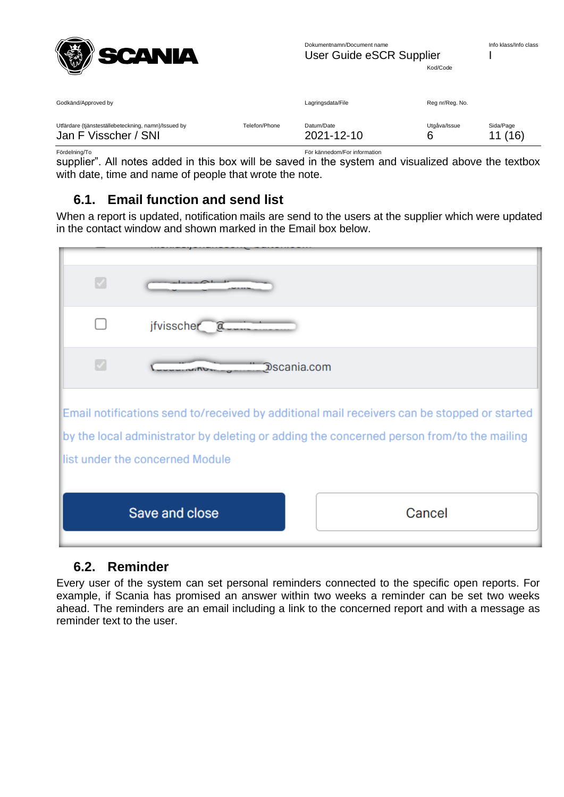

| Godkänd/Approved by                                 |               | Lagringsdata/File | Reg nr/Reg. No. |           |
|-----------------------------------------------------|---------------|-------------------|-----------------|-----------|
| Utfärdare (tjänsteställebeteckning, namn)/Issued by | Telefon/Phone | Datum/Date        | Utgåva/Issue    | Sida/Page |
| Jan F Visscher / SNI                                |               | 2021-12-10        | 6               | 11(16)    |

Fördelning/To För kännedom/For information

supplier". All notes added in this box will be saved in the system and visualized above the textbox with date, time and name of people that wrote the note.

#### <span id="page-10-0"></span>**6.1. Email function and send list**

When a report is updated, notification mails are send to the users at the supplier which were updated in the contact window and shown marked in the Email box below.

| $\overline{\mathcal{L}}$ |                                 |                                                                                                                                                                                          |
|--------------------------|---------------------------------|------------------------------------------------------------------------------------------------------------------------------------------------------------------------------------------|
|                          | jfvisscher a__                  |                                                                                                                                                                                          |
| V                        |                                 | Dscania.com                                                                                                                                                                              |
|                          | list under the concerned Module | Email notifications send to/received by additional mail receivers can be stopped or started<br>by the local administrator by deleting or adding the concerned person from/to the mailing |
|                          | Save and close                  | Cancel                                                                                                                                                                                   |

#### <span id="page-10-1"></span>**6.2. Reminder**

Every user of the system can set personal reminders connected to the specific open reports. For example, if Scania has promised an answer within two weeks a reminder can be set two weeks ahead. The reminders are an email including a link to the concerned report and with a message as reminder text to the user.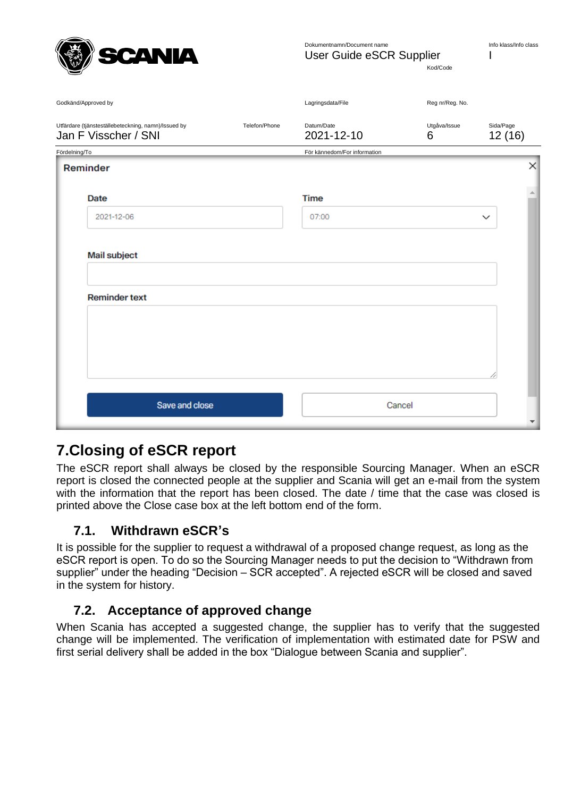

Dokumentnamn/Document name User Guide eSCR Supplier I

Kod/Code

| Godkänd/Approved by                                                         |               | Lagringsdata/File            | Reg nr/Reg. No.   |                     |
|-----------------------------------------------------------------------------|---------------|------------------------------|-------------------|---------------------|
| Utfärdare (tjänsteställebeteckning, namn)/Issued by<br>Jan F Visscher / SNI | Telefon/Phone | Datum/Date<br>2021-12-10     | Utgåva/Issue<br>6 | Sida/Page<br>12(16) |
| Fördelning/To                                                               |               | För kännedom/For information |                   |                     |
| Reminder                                                                    |               |                              |                   | $\times$            |
|                                                                             |               |                              |                   |                     |
| Date                                                                        |               | <b>Time</b>                  |                   | A                   |
| 2021-12-06                                                                  |               | 07:00                        |                   | $\checkmark$        |
|                                                                             |               |                              |                   |                     |
| Mail subject                                                                |               |                              |                   |                     |
|                                                                             |               |                              |                   |                     |
|                                                                             |               |                              |                   |                     |
| <b>Reminder text</b>                                                        |               |                              |                   |                     |
|                                                                             |               |                              |                   |                     |
|                                                                             |               |                              |                   |                     |
|                                                                             |               |                              |                   |                     |
|                                                                             |               |                              |                   |                     |
|                                                                             |               |                              |                   |                     |
| Save and close                                                              |               | Cancel                       |                   |                     |
|                                                                             |               |                              |                   | ▼                   |

### <span id="page-11-0"></span>**7.Closing of eSCR report**

The eSCR report shall always be closed by the responsible Sourcing Manager. When an eSCR report is closed the connected people at the supplier and Scania will get an e-mail from the system with the information that the report has been closed. The date / time that the case was closed is printed above the Close case box at the left bottom end of the form.

#### <span id="page-11-1"></span>**7.1. Withdrawn eSCR's**

It is possible for the supplier to request a withdrawal of a proposed change request, as long as the eSCR report is open. To do so the Sourcing Manager needs to put the decision to "Withdrawn from supplier" under the heading "Decision – SCR accepted". A rejected eSCR will be closed and saved in the system for history.

### <span id="page-11-2"></span>**7.2. Acceptance of approved change**

When Scania has accepted a suggested change, the supplier has to verify that the suggested change will be implemented. The verification of implementation with estimated date for PSW and first serial delivery shall be added in the box "Dialogue between Scania and supplier".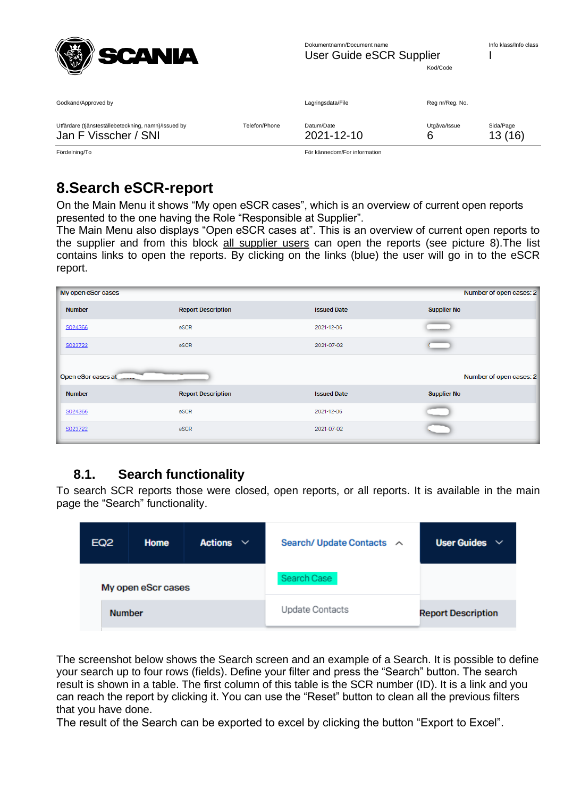| SCANIA |
|--------|
|--------|

| Godkänd/Approved by                                 |               | Lagringsdata/File | Reg nr/Reg. No. |           |
|-----------------------------------------------------|---------------|-------------------|-----------------|-----------|
| Utfärdare (tjänsteställebeteckning, namn)/Issued by | Telefon/Phone | Datum/Date        | Utgåva/Issue    | Sida/Page |
| Jan F Visscher / SNI                                |               | 2021-12-10        | 6               | 13(16)    |

Fördelning/To För kännedom/For information

# <span id="page-12-0"></span>**8.Search eSCR-report**

On the Main Menu it shows "My open eSCR cases", which is an overview of current open reports presented to the one having the Role "Responsible at Supplier".

The Main Menu also displays "Open eSCR cases at". This is an overview of current open reports to the supplier and from this block all supplier users can open the reports (see picture 8). The list contains links to open the reports. By clicking on the links (blue) the user will go in to the eSCR report.

| My open eScr cases                         |                           |                    | Number of open cases: 2 |
|--------------------------------------------|---------------------------|--------------------|-------------------------|
| <b>Number</b>                              | <b>Report Description</b> | <b>Issued Date</b> | <b>Supplier No</b>      |
| S024366                                    | eSCR                      | 2021-12-06         |                         |
| S023722                                    | eSCR                      | 2021-07-02         |                         |
| Open eScr cases at <b>Contract Control</b> |                           |                    | Number of open cases: 2 |
| <b>Number</b>                              | <b>Report Description</b> | <b>Issued Date</b> | <b>Supplier No</b>      |
| S024366                                    | eSCR                      | 2021-12-06         |                         |
| S023722                                    | eSCR                      | 2021-07-02         |                         |

### <span id="page-12-1"></span>**8.1. Search functionality**

To search SCR reports those were closed, open reports, or all reports. It is available in the main page the "Search" functionality.

| <b>EQ2</b>    | Home               | <b>Actions</b><br>$\checkmark$ | Search/ Update Contacts ^ | <b>User Guides</b><br>$\checkmark$ |
|---------------|--------------------|--------------------------------|---------------------------|------------------------------------|
|               | My open eScr cases |                                | Search Case               |                                    |
| <b>Number</b> |                    |                                | Update Contacts           | <b>Report Description</b>          |

The screenshot below shows the Search screen and an example of a Search. It is possible to define your search up to four rows (fields). Define your filter and press the "Search" button. The search result is shown in a table. The first column of this table is the SCR number (ID). It is a link and you can reach the report by clicking it. You can use the "Reset" button to clean all the previous filters that you have done.

The result of the Search can be exported to excel by clicking the button "Export to Excel".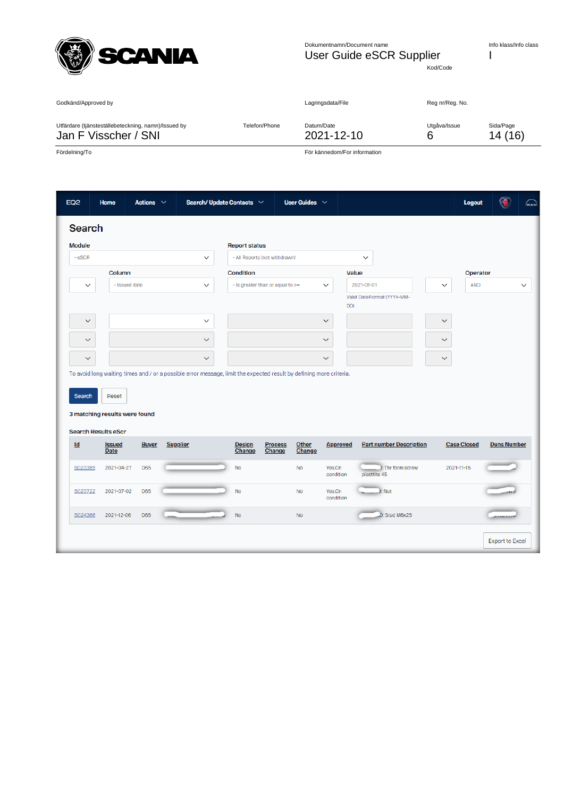

Kod/Code

| Godkänd/Approved by                                 |               | Lagringsdata/File | Reg nr/Reg. No. |           |
|-----------------------------------------------------|---------------|-------------------|-----------------|-----------|
| Utfärdare (tjänsteställebeteckning, namn)/Issued by | Telefon/Phone | Datum/Date        | Utgåva/Issue    | Sida/Page |
| Jan F Visscher / SNI                                |               | 2021-12-10        | 6               | 14 (16)   |

Fördelning/To För kännedom/For information

| <b>Module</b> |                                                             |              |                                                                                                                     |              | <b>Report status</b>    |                                  |                                   |                                   |                                |              |                    |                    |
|---------------|-------------------------------------------------------------|--------------|---------------------------------------------------------------------------------------------------------------------|--------------|-------------------------|----------------------------------|-----------------------------------|-----------------------------------|--------------------------------|--------------|--------------------|--------------------|
| $-$ eSCR      |                                                             |              |                                                                                                                     | $\checkmark$ |                         | - All Reports (not withdrawn)    |                                   | $\checkmark$                      |                                |              |                    |                    |
|               | Column                                                      |              |                                                                                                                     |              | Condition               |                                  |                                   | Value                             |                                |              | Operator           |                    |
| $\checkmark$  | - Issued date                                               |              |                                                                                                                     | $\checkmark$ |                         | - Is greater than or equal to >= | $\checkmark$                      | 2021-01-01                        |                                | $\checkmark$ | <b>AND</b>         |                    |
|               |                                                             |              |                                                                                                                     |              |                         |                                  |                                   | Valid DateFormat (YYYY-MM-<br>DD) |                                |              |                    |                    |
| $\checkmark$  |                                                             |              |                                                                                                                     | $\checkmark$ |                         |                                  | $\checkmark$                      |                                   |                                | $\checkmark$ |                    |                    |
| $\checkmark$  |                                                             |              |                                                                                                                     |              |                         |                                  |                                   |                                   |                                |              |                    |                    |
|               |                                                             |              |                                                                                                                     | $\checkmark$ |                         |                                  | $\checkmark$                      |                                   |                                | $\checkmark$ |                    |                    |
| $\checkmark$  | Reset                                                       |              | To avoid long waiting times and / or a possible error message, limit the expected result by defining more criteria. | $\checkmark$ |                         |                                  | $\checkmark$                      |                                   |                                | $\checkmark$ |                    |                    |
| Search        | 3 matching results were found<br><b>Search Results eScr</b> |              |                                                                                                                     |              |                         |                                  |                                   |                                   |                                |              |                    |                    |
| Id            | <b>Issued</b><br>Date                                       | <b>Buyer</b> | <b>Supplier</b>                                                                                                     |              | <b>Design</b><br>Change | <b>Process</b><br>Change         | Other<br>Change                   | <b>Approved</b>                   | <b>Part number Description</b> |              | <b>Case Closed</b> | <b>Duns Number</b> |
| S023385       | 2021-04-27                                                  | <b>D65</b>   |                                                                                                                     |              | No                      |                                  | <b>No</b><br>Yes, On<br>condition | plasttite 45                      | ): Thr form screw              | 2021-11-15   |                    |                    |
| S023722       | 2021-07-02                                                  | <b>D65</b>   |                                                                                                                     |              | No                      |                                  | <b>No</b><br>Yes.On<br>condition  | ): Nut                            |                                |              |                    | $-$ and            |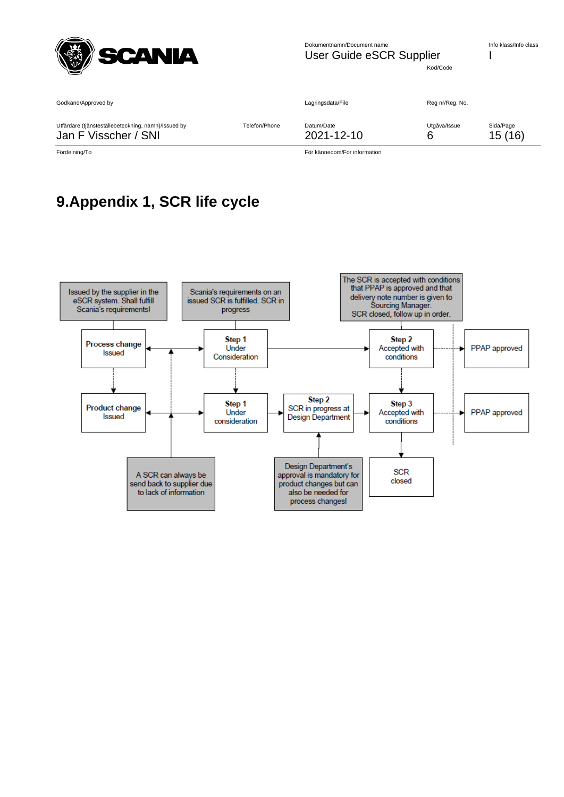

Kod/Code

| Godkänd/Approved by                                 |               | Lagringsdata/File | Reg nr/Reg. No. |           |
|-----------------------------------------------------|---------------|-------------------|-----------------|-----------|
| Utfärdare (tjänsteställebeteckning, namn)/Issued by | Telefon/Phone | Datum/Date        | Utgåva/Issue    | Sida/Page |
| Jan F Visscher / SNI                                |               | 2021-12-10        | 6               | 15(16)    |

Fördelning/To För kännedom/For information

# <span id="page-14-0"></span>**9.Appendix 1, SCR life cycle**